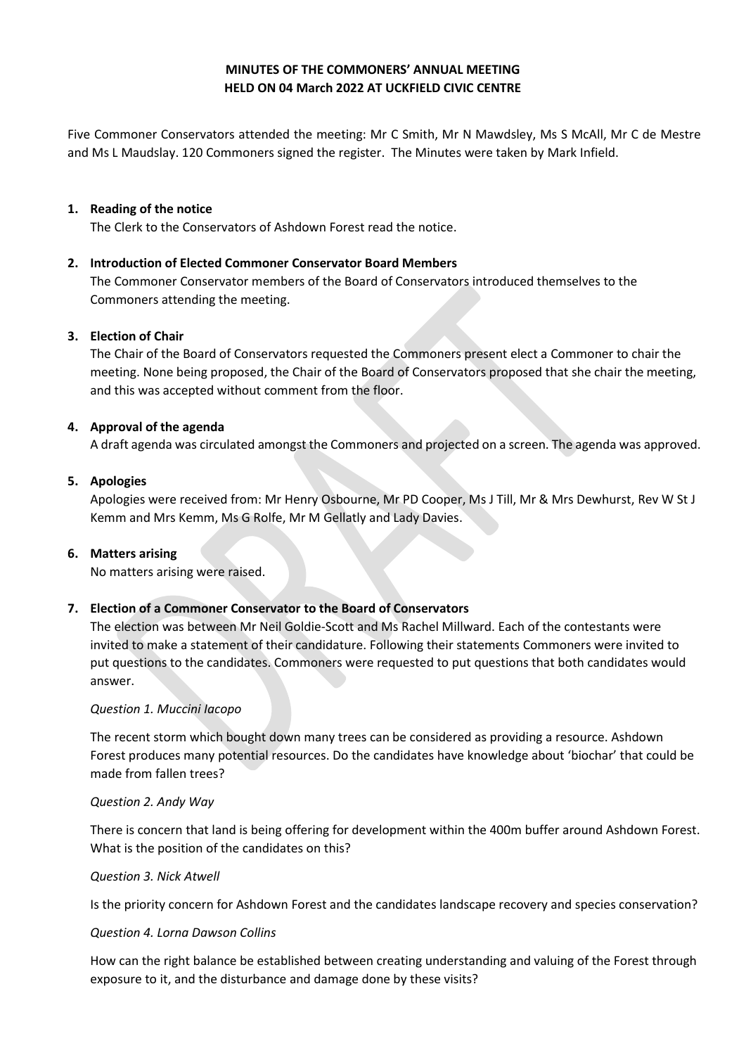# **MINUTES OF THE COMMONERS' ANNUAL MEETING HELD ON 04 March 2022 AT UCKFIELD CIVIC CENTRE**

Five Commoner Conservators attended the meeting: Mr C Smith, Mr N Mawdsley, Ms S McAll, Mr C de Mestre and Ms L Maudslay. 120 Commoners signed the register. The Minutes were taken by Mark Infield.

### **1. Reading of the notice**

The Clerk to the Conservators of Ashdown Forest read the notice.

# **2. Introduction of Elected Commoner Conservator Board Members**

The Commoner Conservator members of the Board of Conservators introduced themselves to the Commoners attending the meeting.

### **3. Election of Chair**

The Chair of the Board of Conservators requested the Commoners present elect a Commoner to chair the meeting. None being proposed, the Chair of the Board of Conservators proposed that she chair the meeting, and this was accepted without comment from the floor.

## **4. Approval of the agenda**

A draft agenda was circulated amongst the Commoners and projected on a screen. The agenda was approved.

## **5. Apologies**

Apologies were received from: Mr Henry Osbourne, Mr PD Cooper, Ms J Till, Mr & Mrs Dewhurst, Rev W St J Kemm and Mrs Kemm, Ms G Rolfe, Mr M Gellatly and Lady Davies.

#### **6. Matters arising**

No matters arising were raised.

# **7. Election of a Commoner Conservator to the Board of Conservators**

The election was between Mr Neil Goldie-Scott and Ms Rachel Millward. Each of the contestants were invited to make a statement of their candidature. Following their statements Commoners were invited to put questions to the candidates. Commoners were requested to put questions that both candidates would answer.

#### *Question 1. Muccini Iacopo*

The recent storm which bought down many trees can be considered as providing a resource. Ashdown Forest produces many potential resources. Do the candidates have knowledge about 'biochar' that could be made from fallen trees?

#### *Question 2. Andy Way*

There is concern that land is being offering for development within the 400m buffer around Ashdown Forest. What is the position of the candidates on this?

#### *Question 3. Nick Atwell*

Is the priority concern for Ashdown Forest and the candidates landscape recovery and species conservation?

#### *Question 4. Lorna Dawson Collins*

How can the right balance be established between creating understanding and valuing of the Forest through exposure to it, and the disturbance and damage done by these visits?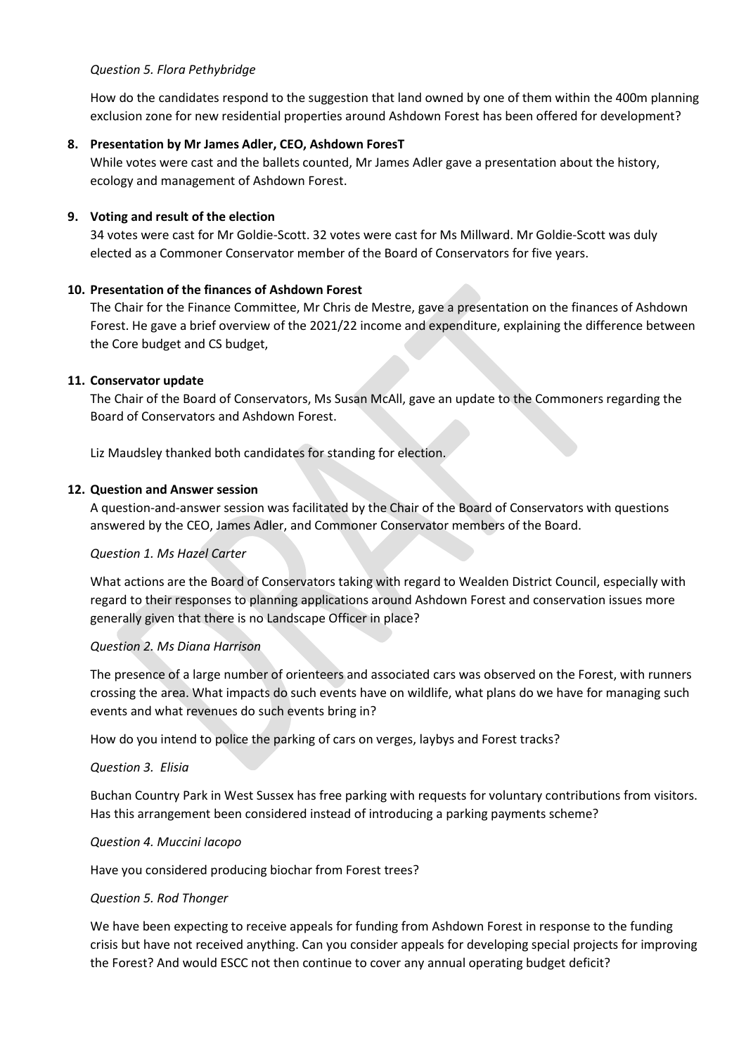### *Question 5. Flora Pethybridge*

How do the candidates respond to the suggestion that land owned by one of them within the 400m planning exclusion zone for new residential properties around Ashdown Forest has been offered for development?

# **8. Presentation by Mr James Adler, CEO, Ashdown ForesT**

While votes were cast and the ballets counted, Mr James Adler gave a presentation about the history, ecology and management of Ashdown Forest.

## **9. Voting and result of the election**

34 votes were cast for Mr Goldie-Scott. 32 votes were cast for Ms Millward. Mr Goldie-Scott was duly elected as a Commoner Conservator member of the Board of Conservators for five years.

## **10. Presentation of the finances of Ashdown Forest**

The Chair for the Finance Committee, Mr Chris de Mestre, gave a presentation on the finances of Ashdown Forest. He gave a brief overview of the 2021/22 income and expenditure, explaining the difference between the Core budget and CS budget,

## **11. Conservator update**

The Chair of the Board of Conservators, Ms Susan McAll, gave an update to the Commoners regarding the Board of Conservators and Ashdown Forest.

Liz Maudsley thanked both candidates for standing for election.

## **12. Question and Answer session**

A question-and-answer session was facilitated by the Chair of the Board of Conservators with questions answered by the CEO, James Adler, and Commoner Conservator members of the Board.

#### *Question 1. Ms Hazel Carter*

What actions are the Board of Conservators taking with regard to Wealden District Council, especially with regard to their responses to planning applications around Ashdown Forest and conservation issues more generally given that there is no Landscape Officer in place?

#### *Question 2. Ms Diana Harrison*

The presence of a large number of orienteers and associated cars was observed on the Forest, with runners crossing the area. What impacts do such events have on wildlife, what plans do we have for managing such events and what revenues do such events bring in?

How do you intend to police the parking of cars on verges, laybys and Forest tracks?

#### *Question 3. Elisia*

Buchan Country Park in West Sussex has free parking with requests for voluntary contributions from visitors. Has this arrangement been considered instead of introducing a parking payments scheme?

#### *Question 4. Muccini Iacopo*

Have you considered producing biochar from Forest trees?

#### *Question 5. Rod Thonger*

We have been expecting to receive appeals for funding from Ashdown Forest in response to the funding crisis but have not received anything. Can you consider appeals for developing special projects for improving the Forest? And would ESCC not then continue to cover any annual operating budget deficit?